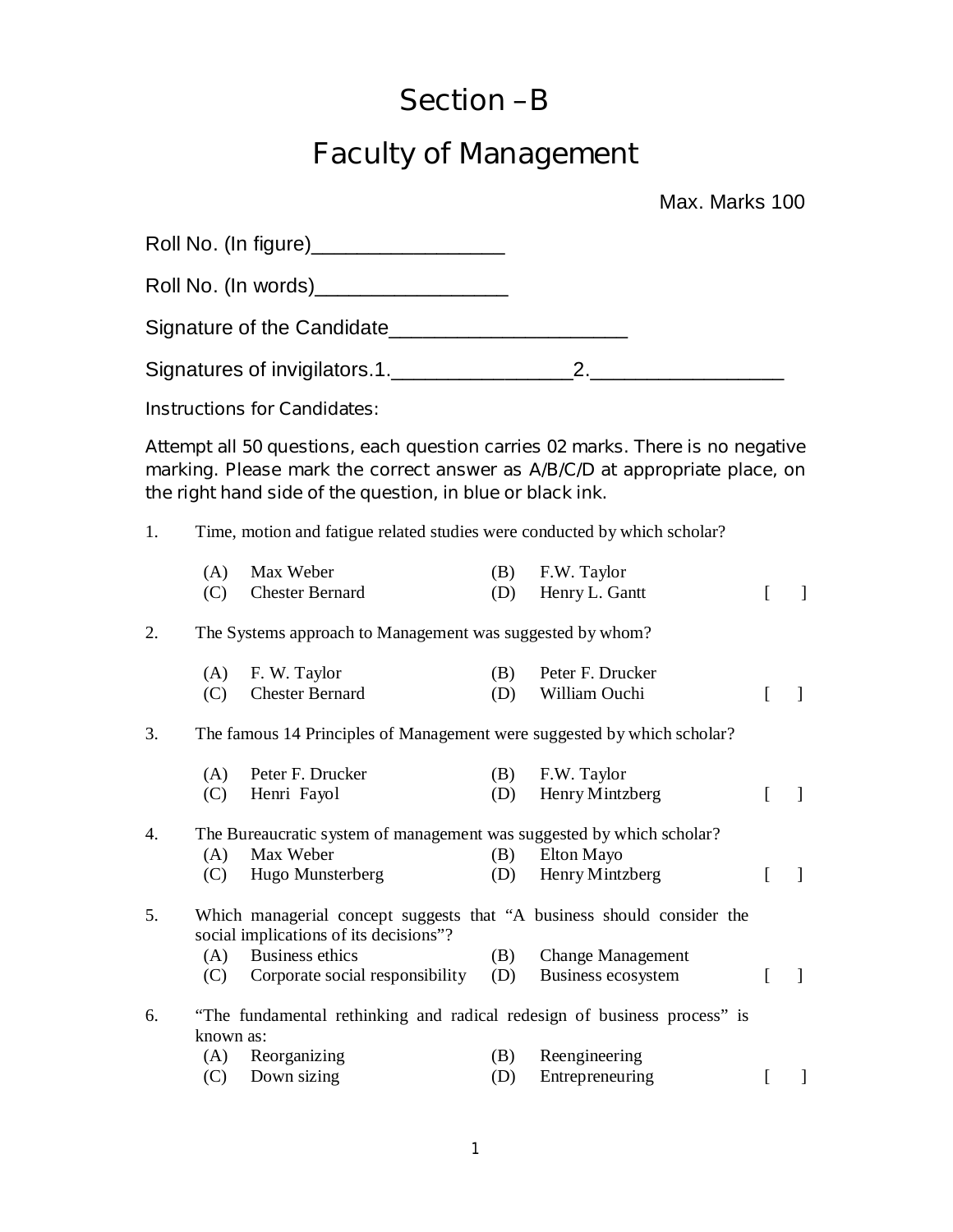## **Section –B**

## **Faculty of Management**

|    |           |                                                                                                                                                                                                                                                                                                          |     | Max. Marks 100           |              |              |
|----|-----------|----------------------------------------------------------------------------------------------------------------------------------------------------------------------------------------------------------------------------------------------------------------------------------------------------------|-----|--------------------------|--------------|--------------|
|    |           | Roll No. (In figure)____________________                                                                                                                                                                                                                                                                 |     |                          |              |              |
|    |           | Roll No. (In words)____________________                                                                                                                                                                                                                                                                  |     |                          |              |              |
|    |           |                                                                                                                                                                                                                                                                                                          |     |                          |              |              |
|    |           |                                                                                                                                                                                                                                                                                                          |     |                          |              |              |
|    |           |                                                                                                                                                                                                                                                                                                          |     |                          |              |              |
|    |           | <b>Instructions for Candidates:</b>                                                                                                                                                                                                                                                                      |     |                          |              |              |
| 1. |           | Attempt all 50 questions, each question carries 02 marks. There is no negative<br>marking. Please mark the correct answer as A/B/C/D at appropriate place, on<br>the right hand side of the question, in blue or black ink.<br>Time, motion and fatigue related studies were conducted by which scholar? |     |                          |              |              |
|    | (A)       | Max Weber                                                                                                                                                                                                                                                                                                | (B) | F.W. Taylor              |              |              |
|    | (C)       | <b>Chester Bernard</b>                                                                                                                                                                                                                                                                                   | (D) | Henry L. Gantt           | $\Gamma$     | $\mathbf{I}$ |
| 2. |           | The Systems approach to Management was suggested by whom?                                                                                                                                                                                                                                                |     |                          |              |              |
|    | (A)       | F. W. Taylor                                                                                                                                                                                                                                                                                             | (B) | Peter F. Drucker         |              |              |
|    | (C)       | <b>Chester Bernard</b>                                                                                                                                                                                                                                                                                   | (D) | William Ouchi            | $\lceil$     | $\mathbf{1}$ |
| 3. |           | The famous 14 Principles of Management were suggested by which scholar?                                                                                                                                                                                                                                  |     |                          |              |              |
|    | (A)       | Peter F. Drucker                                                                                                                                                                                                                                                                                         | (B) | F.W. Taylor              |              |              |
|    | (C)       | Henri Fayol                                                                                                                                                                                                                                                                                              | (D) | Henry Mintzberg          | $\Gamma$     | $\mathbf{1}$ |
| 4. |           | The Bureaucratic system of management was suggested by which scholar?                                                                                                                                                                                                                                    |     |                          |              |              |
|    | (A)       | Max Weber                                                                                                                                                                                                                                                                                                |     | (B) Elton Mayo           |              |              |
|    | (C)       | Hugo Munsterberg                                                                                                                                                                                                                                                                                         | (D) | Henry Mintzberg          |              |              |
| 5. |           | Which managerial concept suggests that "A business should consider the<br>social implications of its decisions"?                                                                                                                                                                                         |     |                          |              |              |
|    | (A)       | Business ethics                                                                                                                                                                                                                                                                                          | (B) | <b>Change Management</b> |              |              |
|    | (C)       | Corporate social responsibility                                                                                                                                                                                                                                                                          | (D) | Business ecosystem       | L            | -1           |
| 6. | known as: | "The fundamental rethinking and radical redesign of business process" is                                                                                                                                                                                                                                 |     |                          |              |              |
|    | (A)       | Reorganizing                                                                                                                                                                                                                                                                                             | (B) | Reengineering            |              |              |
|    | (C)       | Down sizing                                                                                                                                                                                                                                                                                              | (D) | Entrepreneuring          | $\mathbf{I}$ | -1           |
|    |           |                                                                                                                                                                                                                                                                                                          |     |                          |              |              |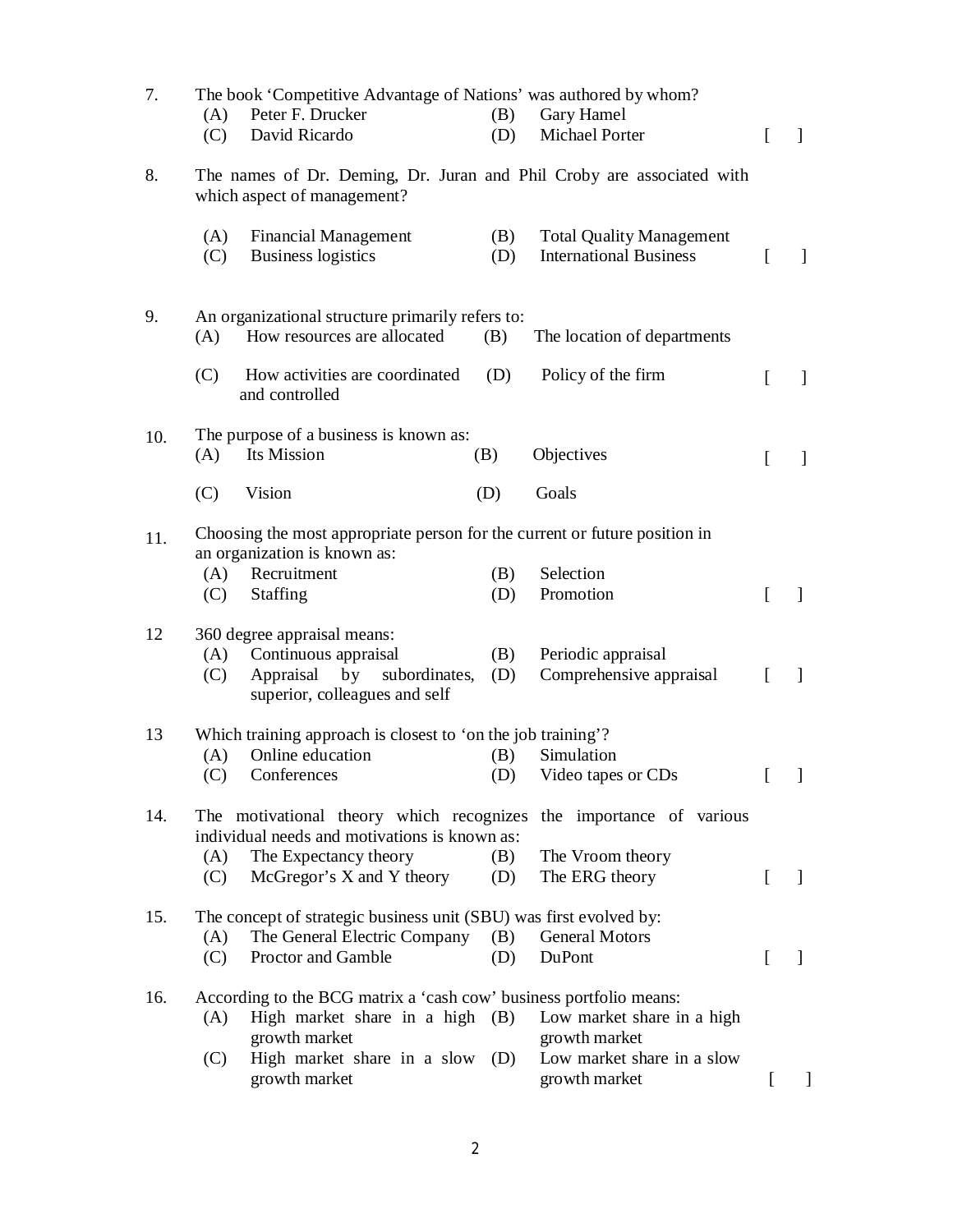| 7.  | The book 'Competitive Advantage of Nations' was authored by whom?                                                   |                                                                   |            |                                 |                                       |              |  |  |
|-----|---------------------------------------------------------------------------------------------------------------------|-------------------------------------------------------------------|------------|---------------------------------|---------------------------------------|--------------|--|--|
|     | (A)<br>(C)                                                                                                          | Peter F. Drucker<br>David Ricardo                                 | (B)<br>(D) | Gary Hamel<br>Michael Porter    |                                       | $\mathbf{I}$ |  |  |
|     |                                                                                                                     |                                                                   |            |                                 | L                                     |              |  |  |
| 8.  | The names of Dr. Deming, Dr. Juran and Phil Croby are associated with<br>which aspect of management?                |                                                                   |            |                                 |                                       |              |  |  |
|     | (A)                                                                                                                 | <b>Financial Management</b>                                       | (B)        | <b>Total Quality Management</b> |                                       |              |  |  |
|     | (C)                                                                                                                 | <b>Business logistics</b>                                         | (D)        | <b>International Business</b>   | L                                     | $\mathbf{I}$ |  |  |
| 9.  |                                                                                                                     | An organizational structure primarily refers to:                  |            |                                 |                                       |              |  |  |
|     | (A)                                                                                                                 | How resources are allocated                                       | (B)        | The location of departments     |                                       |              |  |  |
|     | (C)                                                                                                                 | How activities are coordinated<br>and controlled                  | (D)        | Policy of the firm              | $\overline{[}$                        | $\mathbf{I}$ |  |  |
| 10. |                                                                                                                     | The purpose of a business is known as:                            |            |                                 |                                       |              |  |  |
|     | (A)                                                                                                                 | Its Mission                                                       | (B)        | Objectives                      | $\Gamma$                              | $\mathbf{I}$ |  |  |
|     | (C)                                                                                                                 | Vision                                                            | (D)        | Goals                           |                                       |              |  |  |
|     | Choosing the most appropriate person for the current or future position in                                          |                                                                   |            |                                 |                                       |              |  |  |
| 11. |                                                                                                                     | an organization is known as:                                      |            |                                 |                                       |              |  |  |
|     | (A)                                                                                                                 | Recruitment                                                       | (B)        | Selection                       |                                       |              |  |  |
|     | (C)                                                                                                                 | Staffing                                                          | (D)        | Promotion                       | $\Gamma$                              | $\mathbf{1}$ |  |  |
| 12  | 360 degree appraisal means:                                                                                         |                                                                   |            |                                 |                                       |              |  |  |
|     | (A)                                                                                                                 | Continuous appraisal                                              | (B)        | Periodic appraisal              |                                       |              |  |  |
|     | (C)                                                                                                                 | Appraisal<br>by<br>subordinates,<br>superior, colleagues and self | (D)        | Comprehensive appraisal         | ſ                                     | $\mathbf{1}$ |  |  |
| 13  | Which training approach is closest to 'on the job training'?                                                        |                                                                   |            |                                 |                                       |              |  |  |
|     | (A)                                                                                                                 | Online education                                                  | (B)        | Simulation                      |                                       |              |  |  |
|     |                                                                                                                     | (C) Conferences                                                   |            | (D) Video tapes or CDs          | $\begin{bmatrix} 1 & 1 \end{bmatrix}$ |              |  |  |
| 14. |                                                                                                                     |                                                                   |            |                                 |                                       |              |  |  |
|     | The motivational theory which recognizes the importance of various<br>individual needs and motivations is known as: |                                                                   |            |                                 |                                       |              |  |  |
|     | (A)                                                                                                                 | The Expectancy theory                                             | (B)        | The Vroom theory                |                                       |              |  |  |
|     | (C)                                                                                                                 | McGregor's X and Y theory                                         | (D)        | The ERG theory                  | $\mathsf{L}$                          | T            |  |  |
| 15. | The concept of strategic business unit (SBU) was first evolved by:                                                  |                                                                   |            |                                 |                                       |              |  |  |
|     | (A)                                                                                                                 | The General Electric Company                                      | (B)        | <b>General Motors</b>           |                                       |              |  |  |
|     | (C)                                                                                                                 | Proctor and Gamble                                                | (D)        | DuPont                          | t                                     | $\perp$      |  |  |
| 16. | According to the BCG matrix a 'cash cow' business portfolio means:                                                  |                                                                   |            |                                 |                                       |              |  |  |
|     | (A)                                                                                                                 | High market share in a high (B)                                   |            | Low market share in a high      |                                       |              |  |  |
|     |                                                                                                                     | growth market                                                     |            | growth market                   |                                       |              |  |  |
|     | (C)                                                                                                                 | High market share in a slow                                       | (D)        | Low market share in a slow      |                                       |              |  |  |
|     |                                                                                                                     | growth market                                                     |            | growth market                   |                                       |              |  |  |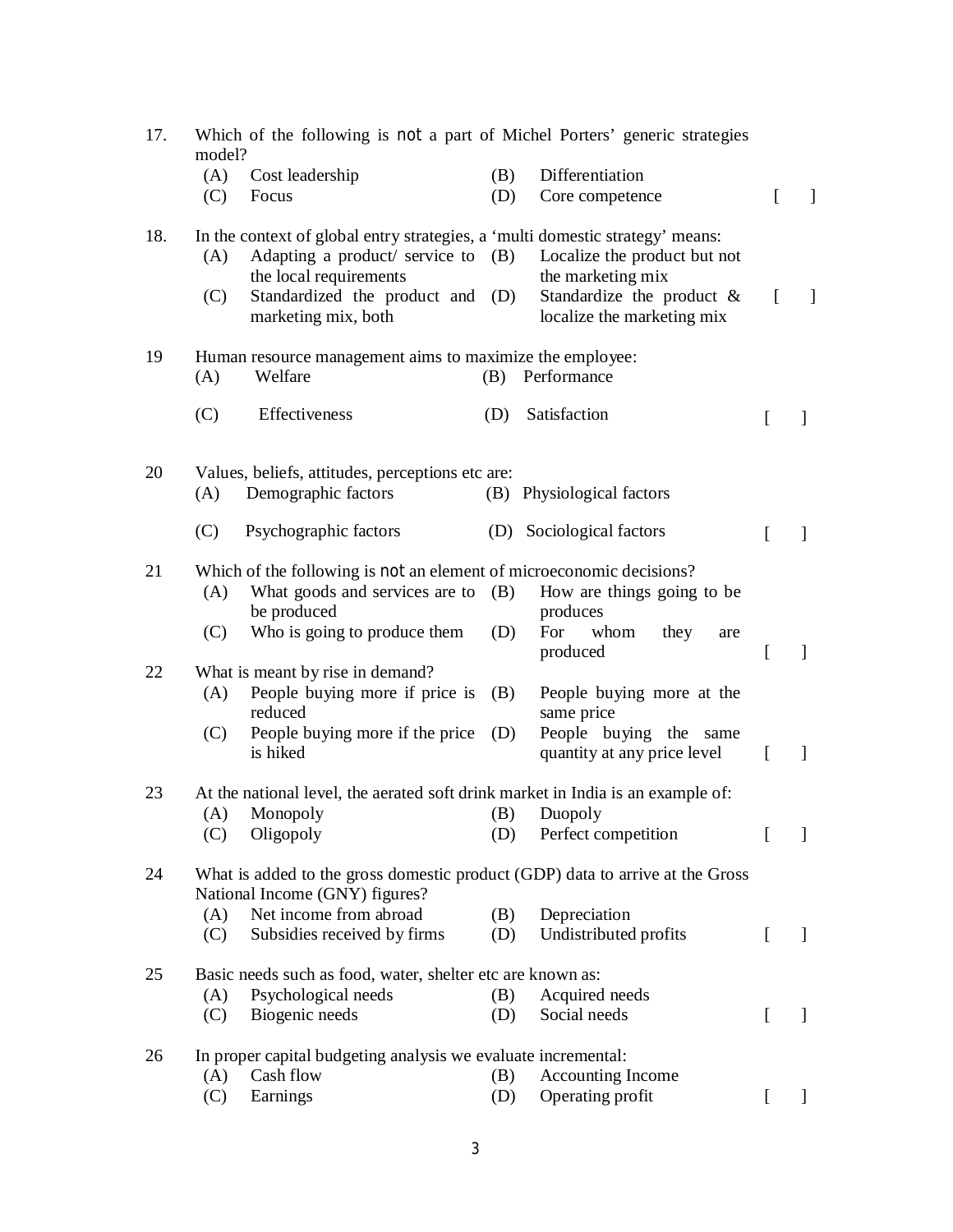| 17.                                                                                                                   | Which of the following is not a part of Michel Porters' generic strategies<br>model? |                                                                                                                                                                                                  |            |                                                                                                                 |              |              |  |  |
|-----------------------------------------------------------------------------------------------------------------------|--------------------------------------------------------------------------------------|--------------------------------------------------------------------------------------------------------------------------------------------------------------------------------------------------|------------|-----------------------------------------------------------------------------------------------------------------|--------------|--------------|--|--|
|                                                                                                                       | (A)                                                                                  | Cost leadership                                                                                                                                                                                  | (B)        | Differentiation                                                                                                 |              |              |  |  |
|                                                                                                                       | (C)                                                                                  | Focus                                                                                                                                                                                            | (D)        | Core competence                                                                                                 | L            | 1            |  |  |
| 18.                                                                                                                   | (A)<br>(C)                                                                           | In the context of global entry strategies, a 'multi domestic strategy' means:<br>Adapting a product/ service to<br>the local requirements<br>Standardized the product and<br>marketing mix, both | (B)<br>(D) | Localize the product but not<br>the marketing mix<br>Standardize the product $\&$<br>localize the marketing mix | ſ            | $\mathbf{I}$ |  |  |
| 19                                                                                                                    | (A)                                                                                  | Human resource management aims to maximize the employee:<br>Welfare                                                                                                                              |            | (B) Performance                                                                                                 |              |              |  |  |
|                                                                                                                       | (C)                                                                                  | Effectiveness                                                                                                                                                                                    | (D)        | Satisfaction                                                                                                    | $\Gamma$     | $\mathbf{I}$ |  |  |
| 20                                                                                                                    | (A)                                                                                  | Values, beliefs, attitudes, perceptions etc are:<br>Demographic factors                                                                                                                          |            | (B) Physiological factors                                                                                       |              |              |  |  |
|                                                                                                                       | (C)                                                                                  | Psychographic factors                                                                                                                                                                            |            | (D) Sociological factors                                                                                        | ſ            | $\mathbf{1}$ |  |  |
| 21                                                                                                                    | Which of the following is <b>not</b> an element of microeconomic decisions?          |                                                                                                                                                                                                  |            |                                                                                                                 |              |              |  |  |
|                                                                                                                       | (A)                                                                                  | What goods and services are to<br>be produced                                                                                                                                                    | (B)        | How are things going to be<br>produces                                                                          |              |              |  |  |
|                                                                                                                       | (C)                                                                                  | Who is going to produce them                                                                                                                                                                     | (D)        | whom<br>they<br>For<br>are<br>produced                                                                          | L            | -1           |  |  |
| 22                                                                                                                    | (A)                                                                                  | What is meant by rise in demand?<br>People buying more if price is<br>reduced                                                                                                                    | (B)        | People buying more at the<br>same price                                                                         |              |              |  |  |
|                                                                                                                       | (C)                                                                                  | People buying more if the price<br>is hiked                                                                                                                                                      | (D)        | People buying the same<br>quantity at any price level                                                           | $\mathbf{I}$ | $\mathbf{1}$ |  |  |
| 23                                                                                                                    | At the national level, the aerated soft drink market in India is an example of:      |                                                                                                                                                                                                  |            |                                                                                                                 |              |              |  |  |
|                                                                                                                       | (A)                                                                                  | Monopoly                                                                                                                                                                                         | (B)        | Duopoly                                                                                                         |              |              |  |  |
|                                                                                                                       | (C)                                                                                  | Oligopoly                                                                                                                                                                                        | (D)        | Perfect competition                                                                                             | L            | $\mathbf{1}$ |  |  |
| 24<br>What is added to the gross domestic product (GDP) data to arrive at the Gross<br>National Income (GNY) figures? |                                                                                      |                                                                                                                                                                                                  |            |                                                                                                                 |              |              |  |  |
|                                                                                                                       | (A)                                                                                  | Net income from abroad                                                                                                                                                                           | (B)        | Depreciation                                                                                                    |              |              |  |  |
|                                                                                                                       | (C)                                                                                  | Subsidies received by firms                                                                                                                                                                      | (D)        | Undistributed profits                                                                                           | $\mathbf{I}$ | $\mathbf{I}$ |  |  |
| 25                                                                                                                    | Basic needs such as food, water, shelter etc are known as:                           |                                                                                                                                                                                                  |            |                                                                                                                 |              |              |  |  |
|                                                                                                                       | (A)                                                                                  | Psychological needs                                                                                                                                                                              | (B)        | Acquired needs                                                                                                  |              |              |  |  |
|                                                                                                                       | (C)                                                                                  | Biogenic needs                                                                                                                                                                                   | (D)        | Social needs                                                                                                    | $\Gamma$     | 1            |  |  |
| 26                                                                                                                    |                                                                                      | In proper capital budgeting analysis we evaluate incremental:                                                                                                                                    |            |                                                                                                                 |              |              |  |  |
|                                                                                                                       | (A)                                                                                  | Cash flow                                                                                                                                                                                        | (B)        | Accounting Income                                                                                               |              |              |  |  |
|                                                                                                                       | (C)                                                                                  | Earnings                                                                                                                                                                                         | (D)        | Operating profit                                                                                                | $\lfloor$    | $\mathbf{I}$ |  |  |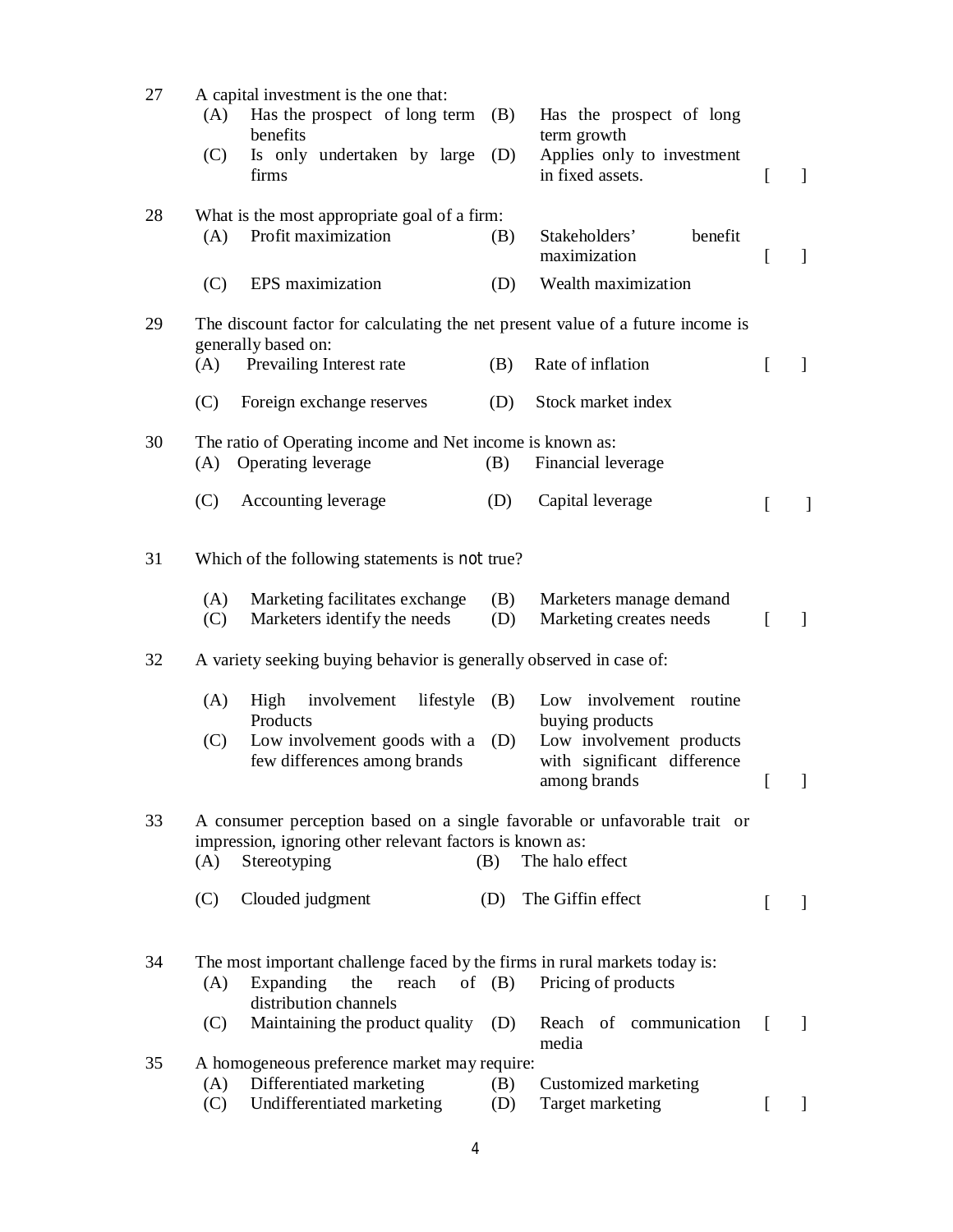| 27 | A capital investment is the one that:<br>(A)<br>benefits                                                                                                                               | Has the prospect of long term   | (B)<br>Has the prospect of long<br>term growth                                  |                |              |
|----|----------------------------------------------------------------------------------------------------------------------------------------------------------------------------------------|---------------------------------|---------------------------------------------------------------------------------|----------------|--------------|
|    | (C)<br>firms                                                                                                                                                                           | Is only undertaken by large     | Applies only to investment<br>(D)<br>in fixed assets.                           | L              | $\mathbf{I}$ |
| 28 | What is the most appropriate goal of a firm:<br>Profit maximization<br>(A)                                                                                                             |                                 | Stakeholders'<br>benefit<br>(B)<br>maximization                                 | [              | $\mathbf{I}$ |
|    | (C)<br>EPS maximization                                                                                                                                                                |                                 | (D)<br>Wealth maximization                                                      |                |              |
| 29 | generally based on:                                                                                                                                                                    |                                 | The discount factor for calculating the net present value of a future income is |                |              |
|    | Prevailing Interest rate<br>(A)                                                                                                                                                        |                                 | Rate of inflation<br>(B)                                                        | L              | -1           |
|    | (C)<br>Foreign exchange reserves                                                                                                                                                       |                                 | Stock market index<br>(D)                                                       |                |              |
| 30 | The ratio of Operating income and Net income is known as:                                                                                                                              |                                 |                                                                                 |                |              |
|    | Operating leverage<br>(A)                                                                                                                                                              | (B)                             | Financial leverage                                                              |                |              |
|    | (C)<br>Accounting leverage                                                                                                                                                             | (D)                             | Capital leverage                                                                | $\overline{[}$ | $\mathbf{I}$ |
| 31 | Which of the following statements is <b>not</b> true?                                                                                                                                  |                                 |                                                                                 |                |              |
|    | Marketing facilitates exchange<br>(A)<br>Marketers identify the needs<br>(C)                                                                                                           |                                 | Marketers manage demand<br>(B)<br>(D)<br>Marketing creates needs                | ſ              | $\mathbf{1}$ |
| 32 | A variety seeking buying behavior is generally observed in case of:                                                                                                                    |                                 |                                                                                 |                |              |
|    | (A)<br>involvement<br>High<br>Products                                                                                                                                                 | lifestyle                       | (B)<br>Low involvement routine<br>buying products                               |                |              |
|    | (C)<br>few differences among brands                                                                                                                                                    | Low involvement goods with a    | Low involvement products<br>(D)<br>with significant difference<br>among brands  | $\lceil$       | $\Box$       |
| 33 | A consumer perception based on a single favorable or unfavorable trait or<br>impression, ignoring other relevant factors is known as:<br>Stereotyping<br>The halo effect<br>(B)<br>(A) |                                 |                                                                                 |                |              |
|    | Clouded judgment<br>(C)                                                                                                                                                                | (D)                             | The Giffin effect                                                               | <sub>[</sub>   | $\mathbf{1}$ |
| 34 |                                                                                                                                                                                        |                                 | The most important challenge faced by the firms in rural markets today is:      |                |              |
|    | Expanding<br>(A)<br>distribution channels                                                                                                                                              | the<br>of $(B)$<br>reach        | Pricing of products                                                             |                |              |
|    | (C)                                                                                                                                                                                    | Maintaining the product quality | (D)<br>Reach of communication<br>media                                          | $\Gamma$       | $\perp$      |
| 35 | A homogeneous preference market may require:<br>Differentiated marketing<br>Customized marketing<br>(A)<br>(B)                                                                         |                                 |                                                                                 |                |              |
|    | Undifferentiated marketing<br>(C)                                                                                                                                                      |                                 | Target marketing<br>(D)                                                         | L              | -1           |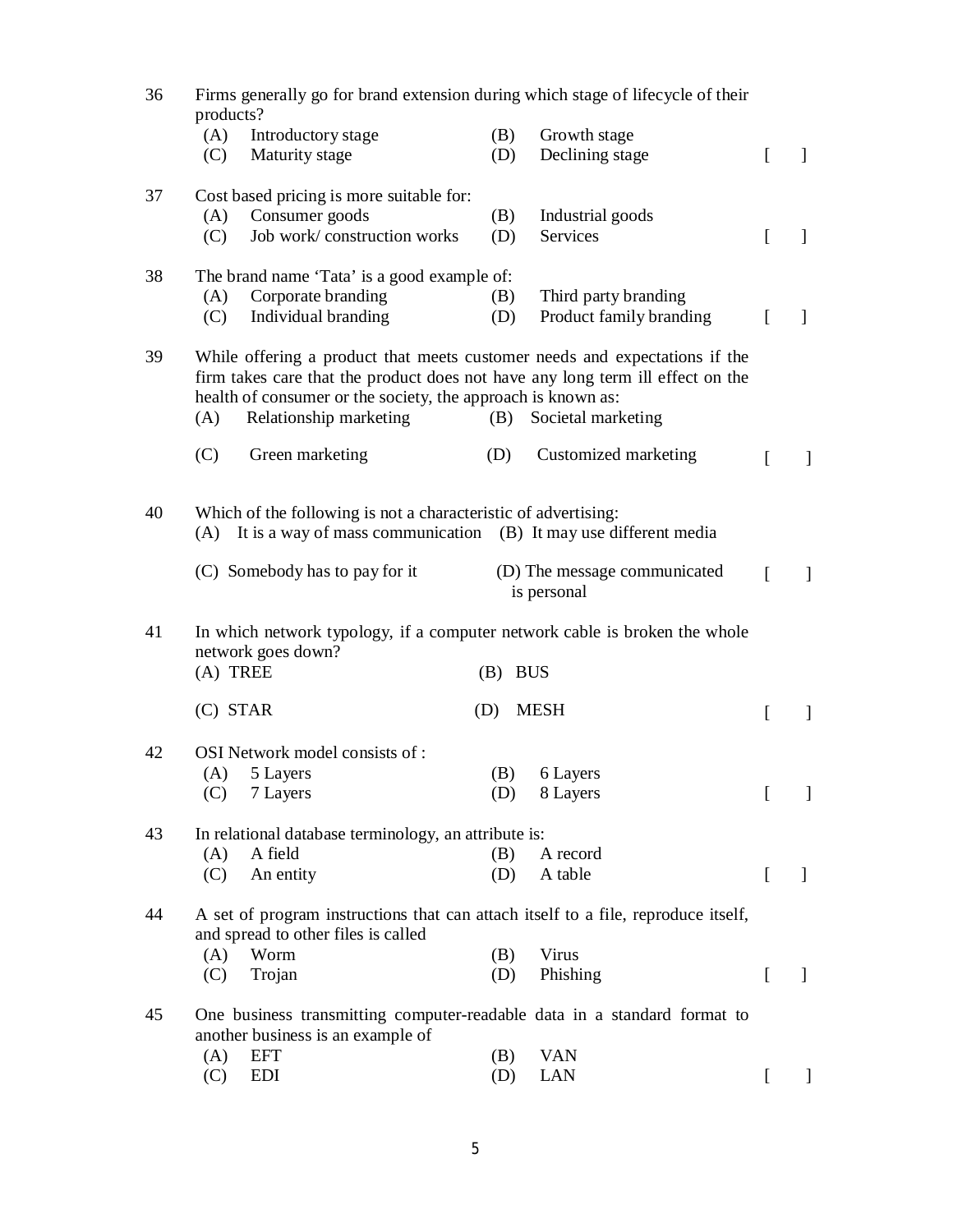| 36 | Firms generally go for brand extension during which stage of lifecycle of their<br>products?                                                                                                                                                                                               |                                             |                |              |  |  |  |  |
|----|--------------------------------------------------------------------------------------------------------------------------------------------------------------------------------------------------------------------------------------------------------------------------------------------|---------------------------------------------|----------------|--------------|--|--|--|--|
|    | (A)<br>Introductory stage                                                                                                                                                                                                                                                                  | Growth stage<br>(B)                         |                |              |  |  |  |  |
|    | Maturity stage<br>(C)                                                                                                                                                                                                                                                                      | Declining stage<br>(D)                      | <sub>[</sub>   | $\mathbf{1}$ |  |  |  |  |
| 37 | Cost based pricing is more suitable for:                                                                                                                                                                                                                                                   |                                             |                |              |  |  |  |  |
|    | Consumer goods<br>(A)                                                                                                                                                                                                                                                                      | Industrial goods<br>(B)                     |                |              |  |  |  |  |
|    | Job work/construction works<br>(C)                                                                                                                                                                                                                                                         | Services<br>(D)                             | L              | $\mathbf{I}$ |  |  |  |  |
| 38 | The brand name 'Tata' is a good example of:                                                                                                                                                                                                                                                |                                             |                |              |  |  |  |  |
|    | Corporate branding<br>(A)                                                                                                                                                                                                                                                                  | Third party branding<br>(B)                 |                |              |  |  |  |  |
|    | Individual branding<br>(C)                                                                                                                                                                                                                                                                 | Product family branding<br>(D)              | $\Gamma$       | $\mathbf{1}$ |  |  |  |  |
| 39 | While offering a product that meets customer needs and expectations if the<br>firm takes care that the product does not have any long term ill effect on the<br>health of consumer or the society, the approach is known as:<br>Relationship marketing<br>Societal marketing<br>(A)<br>(B) |                                             |                |              |  |  |  |  |
|    | (C)<br>Green marketing                                                                                                                                                                                                                                                                     | Customized marketing<br>(D)                 | [              | $\mathbf{I}$ |  |  |  |  |
| 40 | Which of the following is not a characteristic of advertising:<br>(A) It is a way of mass communication (B) It may use different media                                                                                                                                                     |                                             |                |              |  |  |  |  |
|    | (C) Somebody has to pay for it                                                                                                                                                                                                                                                             | (D) The message communicated<br>is personal | $\overline{[}$ | $\mathbf{1}$ |  |  |  |  |
| 41 | In which network typology, if a computer network cable is broken the whole                                                                                                                                                                                                                 |                                             |                |              |  |  |  |  |
|    | network goes down?                                                                                                                                                                                                                                                                         |                                             |                |              |  |  |  |  |
|    | $(A)$ TREE                                                                                                                                                                                                                                                                                 | (B) BUS                                     |                |              |  |  |  |  |
|    | (C) STAR                                                                                                                                                                                                                                                                                   | <b>MESH</b><br>(D)                          | L              | $\perp$      |  |  |  |  |
| 42 | OSI Network model consists of:                                                                                                                                                                                                                                                             |                                             |                |              |  |  |  |  |
|    | (A)<br>5 Layers                                                                                                                                                                                                                                                                            | (B)<br>6 Layers                             |                |              |  |  |  |  |
|    | 7 Layers<br>(C)                                                                                                                                                                                                                                                                            | 8 Layers<br>(D)                             | [              | -1           |  |  |  |  |
| 43 | In relational database terminology, an attribute is:                                                                                                                                                                                                                                       |                                             |                |              |  |  |  |  |
|    | A field<br>(A)                                                                                                                                                                                                                                                                             | (B)<br>A record                             |                |              |  |  |  |  |
|    | An entity<br>(C)                                                                                                                                                                                                                                                                           | (D)<br>A table                              | <sub>[</sub>   | $\mathbf{I}$ |  |  |  |  |
| 44 | A set of program instructions that can attach itself to a file, reproduce itself,<br>and spread to other files is called                                                                                                                                                                   |                                             |                |              |  |  |  |  |
|    | Worm<br>(A)                                                                                                                                                                                                                                                                                | Virus<br>(B)                                |                |              |  |  |  |  |
|    | (C)<br>Trojan                                                                                                                                                                                                                                                                              | Phishing<br>(D)                             | L              | 1            |  |  |  |  |
| 45 | One business transmitting computer-readable data in a standard format to<br>another business is an example of                                                                                                                                                                              |                                             |                |              |  |  |  |  |
|    | (A)<br><b>EFT</b>                                                                                                                                                                                                                                                                          | <b>VAN</b><br>(B)                           |                |              |  |  |  |  |
|    | (C)<br>EDI                                                                                                                                                                                                                                                                                 | LAN<br>(D)                                  | $\mathsf{L}$   |              |  |  |  |  |